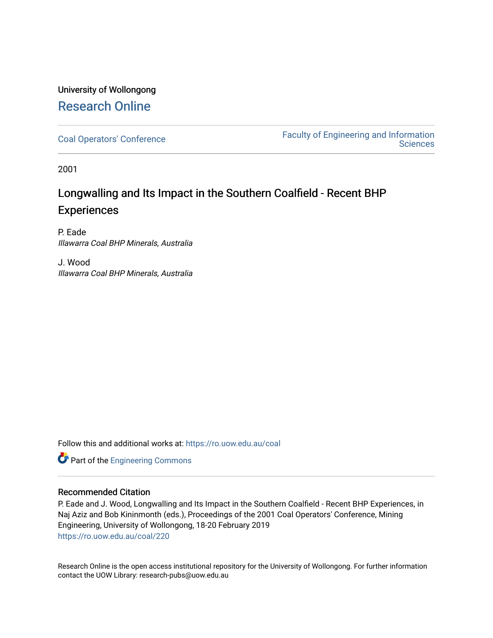# University of Wollongong [Research Online](https://ro.uow.edu.au/)

[Coal Operators' Conference](https://ro.uow.edu.au/coal) [Faculty of Engineering and Information](https://ro.uow.edu.au/eis)  **Sciences** 

2001

# Longwalling and Its Impact in the Southern Coalfield - Recent BHP **Experiences**

P. Eade Illawarra Coal BHP Minerals, Australia

J. Wood Illawarra Coal BHP Minerals, Australia

Follow this and additional works at: [https://ro.uow.edu.au/coal](https://ro.uow.edu.au/coal?utm_source=ro.uow.edu.au%2Fcoal%2F220&utm_medium=PDF&utm_campaign=PDFCoverPages) 

Part of the [Engineering Commons](http://network.bepress.com/hgg/discipline/217?utm_source=ro.uow.edu.au%2Fcoal%2F220&utm_medium=PDF&utm_campaign=PDFCoverPages)

# Recommended Citation

P. Eade and J. Wood, Longwalling and Its Impact in the Southern Coalfield - Recent BHP Experiences, in Naj Aziz and Bob Kininmonth (eds.), Proceedings of the 2001 Coal Operators' Conference, Mining Engineering, University of Wollongong, 18-20 February 2019 [https://ro.uow.edu.au/coal/220](https://ro.uow.edu.au/coal/220?utm_source=ro.uow.edu.au%2Fcoal%2F220&utm_medium=PDF&utm_campaign=PDFCoverPages) 

Research Online is the open access institutional repository for the University of Wollongong. For further information contact the UOW Library: research-pubs@uow.edu.au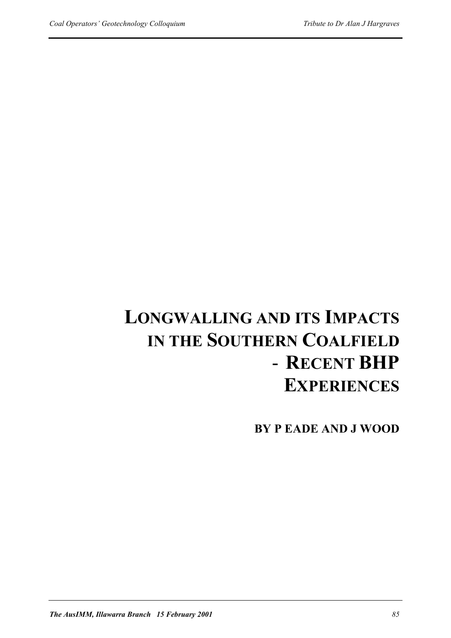# **LONGWALLING AND ITS IMPACTS IN THE SOUTHERN COALFIELD** - **RECENT BHP EXPERIENCES**

**BY P EADE AND J WOOD**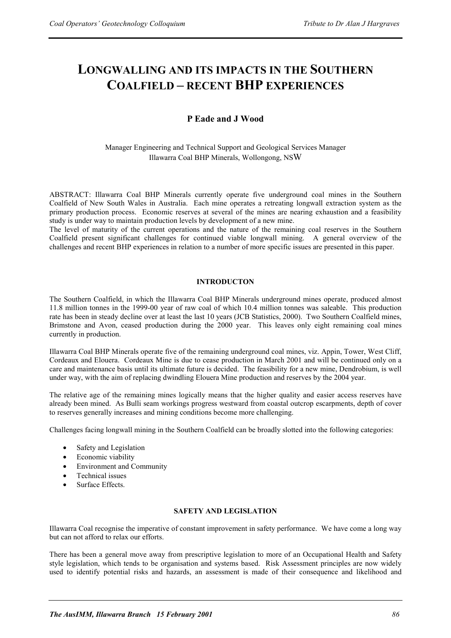# **LONGWALLING AND ITS IMPACTS IN THE SOUTHERN COALFIELD – RECENT BHP EXPERIENCES**

# **P Eade and J Wood**

# Manager Engineering and Technical Support and Geological Services Manager Illawarra Coal BHP Minerals, Wollongong, NSW

ABSTRACT: Illawarra Coal BHP Minerals currently operate five underground coal mines in the Southern Coalfield of New South Wales in Australia. Each mine operates a retreating longwall extraction system as the primary production process. Economic reserves at several of the mines are nearing exhaustion and a feasibility study is under way to maintain production levels by development of a new mine.

The level of maturity of the current operations and the nature of the remaining coal reserves in the Southern Coalfield present significant challenges for continued viable longwall mining. A general overview of the challenges and recent BHP experiences in relation to a number of more specific issues are presented in this paper.

# **INTRODUCTON**

The Southern Coalfield, in which the Illawarra Coal BHP Minerals underground mines operate, produced almost 11.8 million tonnes in the 1999-00 year of raw coal of which 10.4 million tonnes was saleable. This production rate has been in steady decline over at least the last 10 years (JCB Statistics, 2000). Two Southern Coalfield mines, Brimstone and Avon, ceased production during the 2000 year. This leaves only eight remaining coal mines currently in production.

Illawarra Coal BHP Minerals operate five of the remaining underground coal mines, viz. Appin, Tower, West Cliff, Cordeaux and Elouera. Cordeaux Mine is due to cease production in March 2001 and will be continued only on a care and maintenance basis until its ultimate future is decided. The feasibility for a new mine, Dendrobium, is well under way, with the aim of replacing dwindling Elouera Mine production and reserves by the 2004 year.

The relative age of the remaining mines logically means that the higher quality and easier access reserves have already been mined. As Bulli seam workings progress westward from coastal outcrop escarpments, depth of cover to reserves generally increases and mining conditions become more challenging.

Challenges facing longwall mining in the Southern Coalfield can be broadly slotted into the following categories:

- Safety and Legislation
- Economic viability
- Environment and Community
- Technical issues
- Surface Effects.

# **SAFETY AND LEGISLATION**

Illawarra Coal recognise the imperative of constant improvement in safety performance. We have come a long way but can not afford to relax our efforts.

There has been a general move away from prescriptive legislation to more of an Occupational Health and Safety style legislation, which tends to be organisation and systems based. Risk Assessment principles are now widely used to identify potential risks and hazards, an assessment is made of their consequence and likelihood and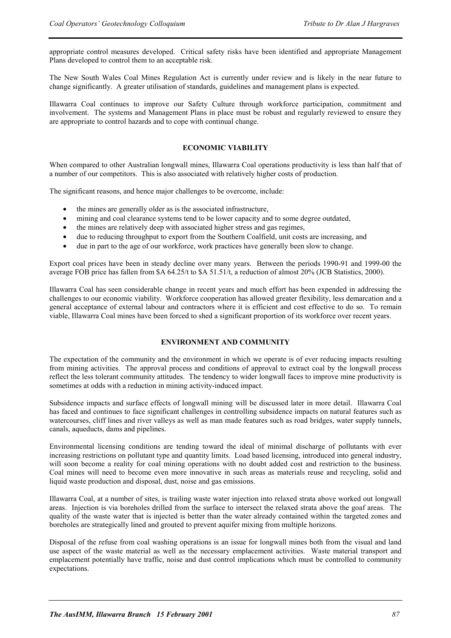appropriate control measures developed. Critical safety risks have been identified and appropriate Management Plans developed to control them to an acceptable risk.

The New South Wales Coal Mines Regulation Act is currently under review and is likely in the near future to change significantly. A greater utilisation of standards, guidelines and management plans is expected.

Illawarra Coal continues to improve our Safety Culture through workforce participation, commitment and involvement. The systems and Management Plans in place must be robust and regularly reviewed to ensure they are appropriate to control hazards and to cope with continual change.

# **ECONOMIC VIABILITY**

When compared to other Australian longwall mines, Illawarra Coal operations productivity is less than half that of a number of our competitors. This is also associated with relatively higher costs of production.

The significant reasons, and hence major challenges to be overcome, include:

- the mines are generally older as is the associated infrastructure,
- mining and coal clearance systems tend to be lower capacity and to some degree outdated,
- the mines are relatively deep with associated higher stress and gas regimes,
- due to reducing throughput to export from the Southern Coalfield, unit costs are increasing, and
- due in part to the age of our workforce, work practices have generally been slow to change.

Export coal prices have been in steady decline over many years. Between the periods 1990-91 and 1999-00 the average FOB price has fallen from \$A 64.25/t to \$A 51.51/t, a reduction of almost 20% (JCB Statistics, 2000).

Illawarra Coal has seen considerable change in recent years and much effort has been expended in addressing the challenges to our economic viability. Workforce cooperation has allowed greater flexibility, less demarcation and a general acceptance of external labour and contractors where it is efficient and cost effective to do so. To remain viable, Illawarra Coal mines have been forced to shed a significant proportion of its workforce over recent years.

# **ENVIRONMENT AND COMMUNITY**

The expectation of the community and the environment in which we operate is of ever reducing impacts resulting from mining activities. The approval process and conditions of approval to extract coal by the longwall process reflect the less tolerant community attitudes. The tendency to wider longwall faces to improve mine productivity is sometimes at odds with a reduction in mining activity-induced impact.

Subsidence impacts and surface effects of longwall mining will be discussed later in more detail. Illawarra Coal has faced and continues to face significant challenges in controlling subsidence impacts on natural features such as watercourses, cliff lines and river valleys as well as man made features such as road bridges, water supply tunnels, canals, aqueducts, dams and pipelines.

Environmental licensing conditions are tending toward the ideal of minimal discharge of pollutants with ever increasing restrictions on pollutant type and quantity limits. Load based licensing, introduced into general industry, will soon become a reality for coal mining operations with no doubt added cost and restriction to the business. Coal mines will need to become even more innovative in such areas as materials reuse and recycling, solid and liquid waste production and disposal, dust, noise and gas emissions.

Illawarra Coal, at a number of sites, is trailing waste water injection into relaxed strata above worked out longwall areas. Injection is via boreholes drilled from the surface to intersect the relaxed strata above the goaf areas. The quality of the waste water that is injected is better than the water already contained within the targeted zones and boreholes are strategically lined and grouted to prevent aquifer mixing from multiple horizons.

Disposal of the refuse from coal washing operations is an issue for longwall mines both from the visual and land use aspect of the waste material as well as the necessary emplacement activities. Waste material transport and emplacement potentially have traffic, noise and dust control implications which must be controlled to community expectations.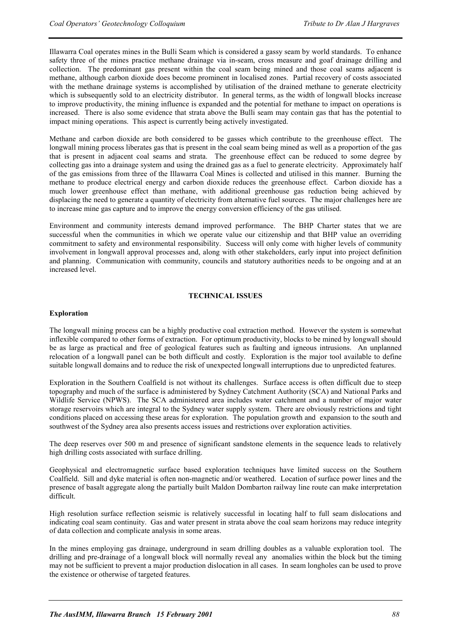Illawarra Coal operates mines in the Bulli Seam which is considered a gassy seam by world standards. To enhance safety three of the mines practice methane drainage via in-seam, cross measure and goaf drainage drilling and collection. The predominant gas present within the coal seam being mined and those coal seams adjacent is methane, although carbon dioxide does become prominent in localised zones. Partial recovery of costs associated with the methane drainage systems is accomplished by utilisation of the drained methane to generate electricity which is subsequently sold to an electricity distributor. In general terms, as the width of longwall blocks increase to improve productivity, the mining influence is expanded and the potential for methane to impact on operations is increased. There is also some evidence that strata above the Bulli seam may contain gas that has the potential to impact mining operations. This aspect is currently being actively investigated.

Methane and carbon dioxide are both considered to be gasses which contribute to the greenhouse effect. The longwall mining process liberates gas that is present in the coal seam being mined as well as a proportion of the gas that is present in adjacent coal seams and strata. The greenhouse effect can be reduced to some degree by collecting gas into a drainage system and using the drained gas as a fuel to generate electricity. Approximately half of the gas emissions from three of the Illawarra Coal Mines is collected and utilised in this manner. Burning the methane to produce electrical energy and carbon dioxide reduces the greenhouse effect. Carbon dioxide has a much lower greenhouse effect than methane, with additional greenhouse gas reduction being achieved by displacing the need to generate a quantity of electricity from alternative fuel sources. The major challenges here are to increase mine gas capture and to improve the energy conversion efficiency of the gas utilised.

Environment and community interests demand improved performance. The BHP Charter states that we are successful when the communities in which we operate value our citizenship and that BHP value an overriding commitment to safety and environmental responsibility. Success will only come with higher levels of community involvement in longwall approval processes and, along with other stakeholders, early input into project definition and planning. Communication with community, councils and statutory authorities needs to be ongoing and at an increased level.

#### **TECHNICAL ISSUES**

#### **Exploration**

The longwall mining process can be a highly productive coal extraction method. However the system is somewhat inflexible compared to other forms of extraction. For optimum productivity, blocks to be mined by longwall should be as large as practical and free of geological features such as faulting and igneous intrusions. An unplanned relocation of a longwall panel can be both difficult and costly. Exploration is the major tool available to define suitable longwall domains and to reduce the risk of unexpected longwall interruptions due to unpredicted features.

Exploration in the Southern Coalfield is not without its challenges. Surface access is often difficult due to steep topography and much of the surface is administered by Sydney Catchment Authority (SCA) and National Parks and Wildlife Service (NPWS). The SCA administered area includes water catchment and a number of major water storage reservoirs which are integral to the Sydney water supply system. There are obviously restrictions and tight conditions placed on accessing these areas for exploration. The population growth and expansion to the south and southwest of the Sydney area also presents access issues and restrictions over exploration activities.

The deep reserves over 500 m and presence of significant sandstone elements in the sequence leads to relatively high drilling costs associated with surface drilling.

Geophysical and electromagnetic surface based exploration techniques have limited success on the Southern Coalfield. Sill and dyke material is often non-magnetic and/or weathered. Location of surface power lines and the presence of basalt aggregate along the partially built Maldon Dombarton railway line route can make interpretation difficult.

High resolution surface reflection seismic is relatively successful in locating half to full seam dislocations and indicating coal seam continuity. Gas and water present in strata above the coal seam horizons may reduce integrity of data collection and complicate analysis in some areas.

In the mines employing gas drainage, underground in seam drilling doubles as a valuable exploration tool. The drilling and pre-drainage of a longwall block will normally reveal any anomalies within the block but the timing may not be sufficient to prevent a major production dislocation in all cases. In seam longholes can be used to prove the existence or otherwise of targeted features.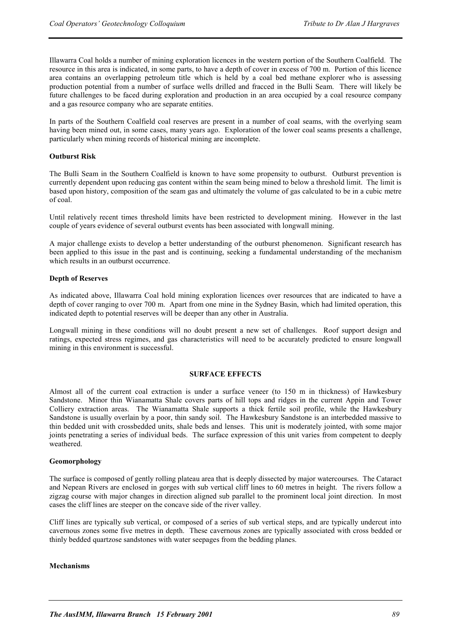Illawarra Coal holds a number of mining exploration licences in the western portion of the Southern Coalfield. The resource in this area is indicated, in some parts, to have a depth of cover in excess of 700 m. Portion of this licence area contains an overlapping petroleum title which is held by a coal bed methane explorer who is assessing production potential from a number of surface wells drilled and fracced in the Bulli Seam. There will likely be future challenges to be faced during exploration and production in an area occupied by a coal resource company and a gas resource company who are separate entities.

In parts of the Southern Coalfield coal reserves are present in a number of coal seams, with the overlying seam having been mined out, in some cases, many years ago. Exploration of the lower coal seams presents a challenge, particularly when mining records of historical mining are incomplete.

#### **Outburst Risk**

The Bulli Seam in the Southern Coalfield is known to have some propensity to outburst. Outburst prevention is currently dependent upon reducing gas content within the seam being mined to below a threshold limit. The limit is based upon history, composition of the seam gas and ultimately the volume of gas calculated to be in a cubic metre of coal.

Until relatively recent times threshold limits have been restricted to development mining. However in the last couple of years evidence of several outburst events has been associated with longwall mining.

A major challenge exists to develop a better understanding of the outburst phenomenon. Significant research has been applied to this issue in the past and is continuing, seeking a fundamental understanding of the mechanism which results in an outburst occurrence.

#### **Depth of Reserves**

As indicated above, Illawarra Coal hold mining exploration licences over resources that are indicated to have a depth of cover ranging to over 700 m. Apart from one mine in the Sydney Basin, which had limited operation, this indicated depth to potential reserves will be deeper than any other in Australia.

Longwall mining in these conditions will no doubt present a new set of challenges. Roof support design and ratings, expected stress regimes, and gas characteristics will need to be accurately predicted to ensure longwall mining in this environment is successful.

#### **SURFACE EFFECTS**

Almost all of the current coal extraction is under a surface veneer (to 150 m in thickness) of Hawkesbury Sandstone. Minor thin Wianamatta Shale covers parts of hill tops and ridges in the current Appin and Tower Colliery extraction areas. The Wianamatta Shale supports a thick fertile soil profile, while the Hawkesbury Sandstone is usually overlain by a poor, thin sandy soil. The Hawkesbury Sandstone is an interbedded massive to thin bedded unit with crossbedded units, shale beds and lenses. This unit is moderately jointed, with some major joints penetrating a series of individual beds. The surface expression of this unit varies from competent to deeply weathered.

#### **Geomorphology**

The surface is composed of gently rolling plateau area that is deeply dissected by major watercourses. The Cataract and Nepean Rivers are enclosed in gorges with sub vertical cliff lines to 60 metres in height. The rivers follow a zigzag course with major changes in direction aligned sub parallel to the prominent local joint direction. In most cases the cliff lines are steeper on the concave side of the river valley.

Cliff lines are typically sub vertical, or composed of a series of sub vertical steps, and are typically undercut into cavernous zones some five metres in depth. These cavernous zones are typically associated with cross bedded or thinly bedded quartzose sandstones with water seepages from the bedding planes.

#### **Mechanisms**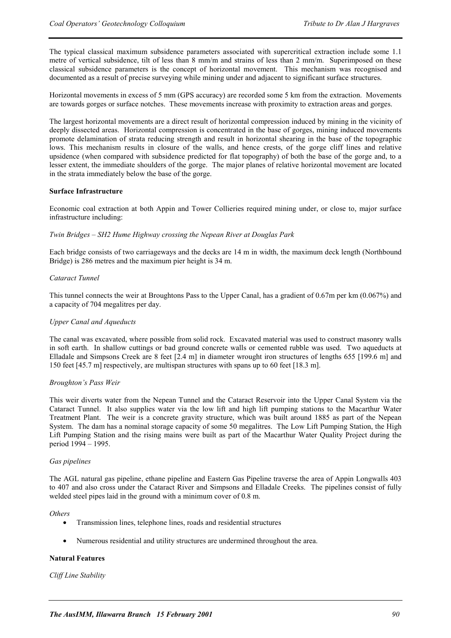The typical classical maximum subsidence parameters associated with supercritical extraction include some 1.1 metre of vertical subsidence, tilt of less than 8 mm/m and strains of less than 2 mm/m. Superimposed on these classical subsidence parameters is the concept of horizontal movement. This mechanism was recognised and documented as a result of precise surveying while mining under and adjacent to significant surface structures.

Horizontal movements in excess of 5 mm (GPS accuracy) are recorded some 5 km from the extraction. Movements are towards gorges or surface notches. These movements increase with proximity to extraction areas and gorges.

The largest horizontal movements are a direct result of horizontal compression induced by mining in the vicinity of deeply dissected areas. Horizontal compression is concentrated in the base of gorges, mining induced movements promote delamination of strata reducing strength and result in horizontal shearing in the base of the topographic lows. This mechanism results in closure of the walls, and hence crests, of the gorge cliff lines and relative upsidence (when compared with subsidence predicted for flat topography) of both the base of the gorge and, to a lesser extent, the immediate shoulders of the gorge. The major planes of relative horizontal movement are located in the strata immediately below the base of the gorge.

#### **Surface Infrastructure**

Economic coal extraction at both Appin and Tower Collieries required mining under, or close to, major surface infrastructure including:

#### *Twin Bridges – SH2 Hume Highway crossing the Nepean River at Douglas Park*

Each bridge consists of two carriageways and the decks are 14 m in width, the maximum deck length (Northbound Bridge) is 286 metres and the maximum pier height is 34 m.

#### *Cataract Tunnel*

This tunnel connects the weir at Broughtons Pass to the Upper Canal, has a gradient of 0.67m per km (0.067%) and a capacity of 704 megalitres per day.

#### *Upper Canal and Aqueducts*

The canal was excavated, where possible from solid rock. Excavated material was used to construct masonry walls in soft earth. In shallow cuttings or bad ground concrete walls or cemented rubble was used. Two aqueducts at Elladale and Simpsons Creek are 8 feet [2.4 m] in diameter wrought iron structures of lengths 655 [199.6 m] and 150 feet [45.7 m] respectively, are multispan structures with spans up to 60 feet [18.3 m].

#### *Broughton's Pass Weir*

This weir diverts water from the Nepean Tunnel and the Cataract Reservoir into the Upper Canal System via the Cataract Tunnel. It also supplies water via the low lift and high lift pumping stations to the Macarthur Water Treatment Plant. The weir is a concrete gravity structure, which was built around 1885 as part of the Nepean System. The dam has a nominal storage capacity of some 50 megalitres. The Low Lift Pumping Station, the High Lift Pumping Station and the rising mains were built as part of the Macarthur Water Quality Project during the period 1994 – 1995.

#### *Gas pipelines*

The AGL natural gas pipeline, ethane pipeline and Eastern Gas Pipeline traverse the area of Appin Longwalls 403 to 407 and also cross under the Cataract River and Simpsons and Elladale Creeks. The pipelines consist of fully welded steel pipes laid in the ground with a minimum cover of 0.8 m.

#### *Others*

- Transmission lines, telephone lines, roads and residential structures
- Numerous residential and utility structures are undermined throughout the area.

#### **Natural Features**

#### *Cliff Line Stability*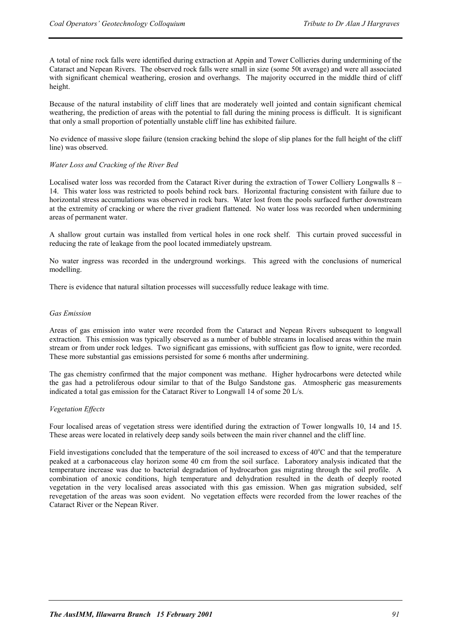A total of nine rock falls were identified during extraction at Appin and Tower Collieries during undermining of the Cataract and Nepean Rivers. The observed rock falls were small in size (some 50t average) and were all associated with significant chemical weathering, erosion and overhangs. The majority occurred in the middle third of cliff height.

Because of the natural instability of cliff lines that are moderately well jointed and contain significant chemical weathering, the prediction of areas with the potential to fall during the mining process is difficult. It is significant that only a small proportion of potentially unstable cliff line has exhibited failure.

No evidence of massive slope failure (tension cracking behind the slope of slip planes for the full height of the cliff line) was observed.

#### *Water Loss and Cracking of the River Bed*

Localised water loss was recorded from the Cataract River during the extraction of Tower Colliery Longwalls 8 – 14. This water loss was restricted to pools behind rock bars. Horizontal fracturing consistent with failure due to horizontal stress accumulations was observed in rock bars. Water lost from the pools surfaced further downstream at the extremity of cracking or where the river gradient flattened. No water loss was recorded when undermining areas of permanent water.

A shallow grout curtain was installed from vertical holes in one rock shelf. This curtain proved successful in reducing the rate of leakage from the pool located immediately upstream.

No water ingress was recorded in the underground workings. This agreed with the conclusions of numerical modelling.

There is evidence that natural siltation processes will successfully reduce leakage with time.

#### *Gas Emission*

Areas of gas emission into water were recorded from the Cataract and Nepean Rivers subsequent to longwall extraction. This emission was typically observed as a number of bubble streams in localised areas within the main stream or from under rock ledges. Two significant gas emissions, with sufficient gas flow to ignite, were recorded. These more substantial gas emissions persisted for some 6 months after undermining.

The gas chemistry confirmed that the major component was methane. Higher hydrocarbons were detected while the gas had a petroliferous odour similar to that of the Bulgo Sandstone gas. Atmospheric gas measurements indicated a total gas emission for the Cataract River to Longwall 14 of some 20 L/s.

#### *Vegetation Effects*

Four localised areas of vegetation stress were identified during the extraction of Tower longwalls 10, 14 and 15. These areas were located in relatively deep sandy soils between the main river channel and the cliff line.

Field investigations concluded that the temperature of the soil increased to excess of 40°C and that the temperature peaked at a carbonaceous clay horizon some 40 cm from the soil surface. Laboratory analysis indicated that the temperature increase was due to bacterial degradation of hydrocarbon gas migrating through the soil profile. A combination of anoxic conditions, high temperature and dehydration resulted in the death of deeply rooted vegetation in the very localised areas associated with this gas emission. When gas migration subsided, self revegetation of the areas was soon evident. No vegetation effects were recorded from the lower reaches of the Cataract River or the Nepean River.